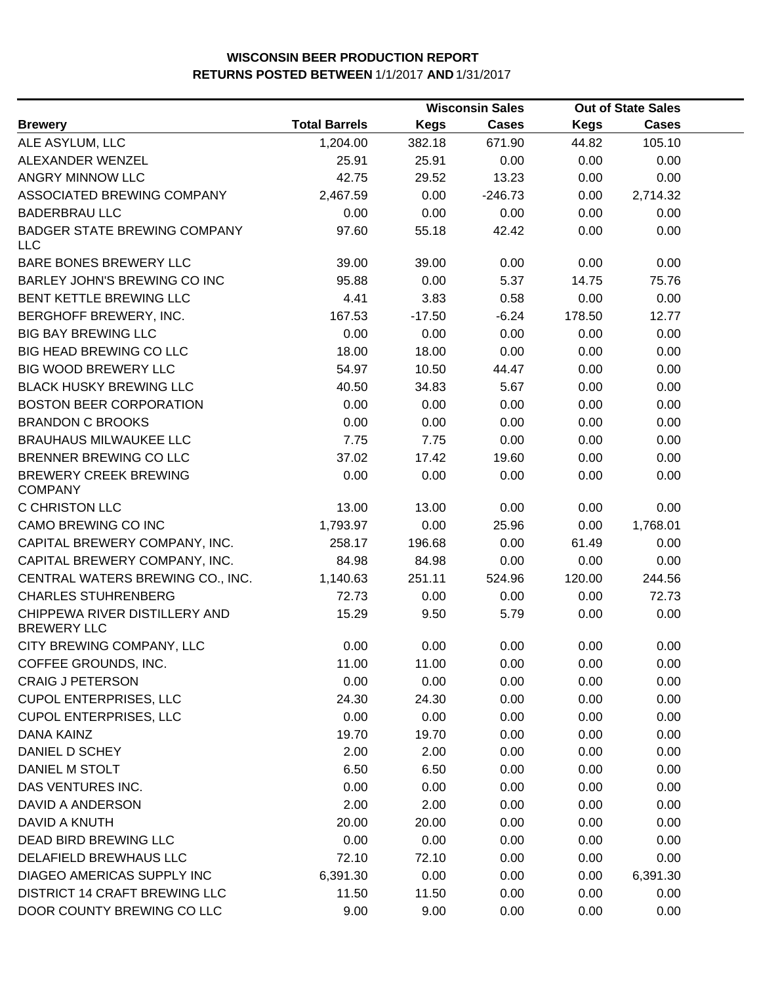|                                                     |                      |             | <b>Wisconsin Sales</b> | <b>Out of State Sales</b> |              |  |
|-----------------------------------------------------|----------------------|-------------|------------------------|---------------------------|--------------|--|
| <b>Brewery</b>                                      | <b>Total Barrels</b> | <b>Kegs</b> | <b>Cases</b>           | <b>Kegs</b>               | <b>Cases</b> |  |
| ALE ASYLUM, LLC                                     | 1,204.00             | 382.18      | 671.90                 | 44.82                     | 105.10       |  |
| ALEXANDER WENZEL                                    | 25.91                | 25.91       | 0.00                   | 0.00                      | 0.00         |  |
| ANGRY MINNOW LLC                                    | 42.75                | 29.52       | 13.23                  | 0.00                      | 0.00         |  |
| ASSOCIATED BREWING COMPANY                          | 2,467.59             | 0.00        | $-246.73$              | 0.00                      | 2,714.32     |  |
| <b>BADERBRAU LLC</b>                                | 0.00                 | 0.00        | 0.00                   | 0.00                      | 0.00         |  |
| <b>BADGER STATE BREWING COMPANY</b><br><b>LLC</b>   | 97.60                | 55.18       | 42.42                  | 0.00                      | 0.00         |  |
| BARE BONES BREWERY LLC                              | 39.00                | 39.00       | 0.00                   | 0.00                      | 0.00         |  |
| BARLEY JOHN'S BREWING CO INC                        | 95.88                | 0.00        | 5.37                   | 14.75                     | 75.76        |  |
| BENT KETTLE BREWING LLC                             | 4.41                 | 3.83        | 0.58                   | 0.00                      | 0.00         |  |
| BERGHOFF BREWERY, INC.                              | 167.53               | $-17.50$    | $-6.24$                | 178.50                    | 12.77        |  |
| <b>BIG BAY BREWING LLC</b>                          | 0.00                 | 0.00        | 0.00                   | 0.00                      | 0.00         |  |
| <b>BIG HEAD BREWING CO LLC</b>                      | 18.00                | 18.00       | 0.00                   | 0.00                      | 0.00         |  |
| <b>BIG WOOD BREWERY LLC</b>                         | 54.97                | 10.50       | 44.47                  | 0.00                      | 0.00         |  |
| <b>BLACK HUSKY BREWING LLC</b>                      | 40.50                | 34.83       | 5.67                   | 0.00                      | 0.00         |  |
| <b>BOSTON BEER CORPORATION</b>                      | 0.00                 | 0.00        | 0.00                   | 0.00                      | 0.00         |  |
| <b>BRANDON C BROOKS</b>                             | 0.00                 | 0.00        | 0.00                   | 0.00                      | 0.00         |  |
| <b>BRAUHAUS MILWAUKEE LLC</b>                       | 7.75                 | 7.75        | 0.00                   | 0.00                      | 0.00         |  |
| BRENNER BREWING CO LLC                              | 37.02                | 17.42       | 19.60                  | 0.00                      | 0.00         |  |
| <b>BREWERY CREEK BREWING</b><br><b>COMPANY</b>      | 0.00                 | 0.00        | 0.00                   | 0.00                      | 0.00         |  |
| C CHRISTON LLC                                      | 13.00                | 13.00       | 0.00                   | 0.00                      | 0.00         |  |
| CAMO BREWING CO INC                                 | 1,793.97             | 0.00        | 25.96                  | 0.00                      | 1,768.01     |  |
| CAPITAL BREWERY COMPANY, INC.                       | 258.17               | 196.68      | 0.00                   | 61.49                     | 0.00         |  |
| CAPITAL BREWERY COMPANY, INC.                       | 84.98                | 84.98       | 0.00                   | 0.00                      | 0.00         |  |
| CENTRAL WATERS BREWING CO., INC.                    | 1,140.63             | 251.11      | 524.96                 | 120.00                    | 244.56       |  |
| <b>CHARLES STUHRENBERG</b>                          | 72.73                | 0.00        | 0.00                   | 0.00                      | 72.73        |  |
| CHIPPEWA RIVER DISTILLERY AND<br><b>BREWERY LLC</b> | 15.29                | 9.50        | 5.79                   | 0.00                      | 0.00         |  |
| CITY BREWING COMPANY, LLC                           | 0.00                 | 0.00        | 0.00                   | 0.00                      | 0.00         |  |
| COFFEE GROUNDS, INC.                                | 11.00                | 11.00       | 0.00                   | 0.00                      | 0.00         |  |
| <b>CRAIG J PETERSON</b>                             | 0.00                 | 0.00        | 0.00                   | 0.00                      | 0.00         |  |
| <b>CUPOL ENTERPRISES, LLC</b>                       | 24.30                | 24.30       | 0.00                   | 0.00                      | 0.00         |  |
| <b>CUPOL ENTERPRISES, LLC</b>                       | 0.00                 | 0.00        | 0.00                   | 0.00                      | 0.00         |  |
| DANA KAINZ                                          | 19.70                | 19.70       | 0.00                   | 0.00                      | 0.00         |  |
| DANIEL D SCHEY                                      | 2.00                 | 2.00        | 0.00                   | 0.00                      | 0.00         |  |
| DANIEL M STOLT                                      | 6.50                 | 6.50        | 0.00                   | 0.00                      | 0.00         |  |
| DAS VENTURES INC.                                   | 0.00                 | 0.00        | 0.00                   | 0.00                      | 0.00         |  |
| <b>DAVID A ANDERSON</b>                             | 2.00                 | 2.00        | 0.00                   | 0.00                      | 0.00         |  |
| DAVID A KNUTH                                       | 20.00                | 20.00       | 0.00                   | 0.00                      | 0.00         |  |
| DEAD BIRD BREWING LLC                               | 0.00                 | 0.00        | 0.00                   | 0.00                      | 0.00         |  |
| DELAFIELD BREWHAUS LLC                              | 72.10                | 72.10       | 0.00                   | 0.00                      | 0.00         |  |
| DIAGEO AMERICAS SUPPLY INC                          | 6,391.30             | 0.00        | 0.00                   | 0.00                      | 6,391.30     |  |
| <b>DISTRICT 14 CRAFT BREWING LLC</b>                | 11.50                | 11.50       | 0.00                   | 0.00                      | 0.00         |  |
| DOOR COUNTY BREWING CO LLC                          | 9.00                 | 9.00        | 0.00                   | 0.00                      | 0.00         |  |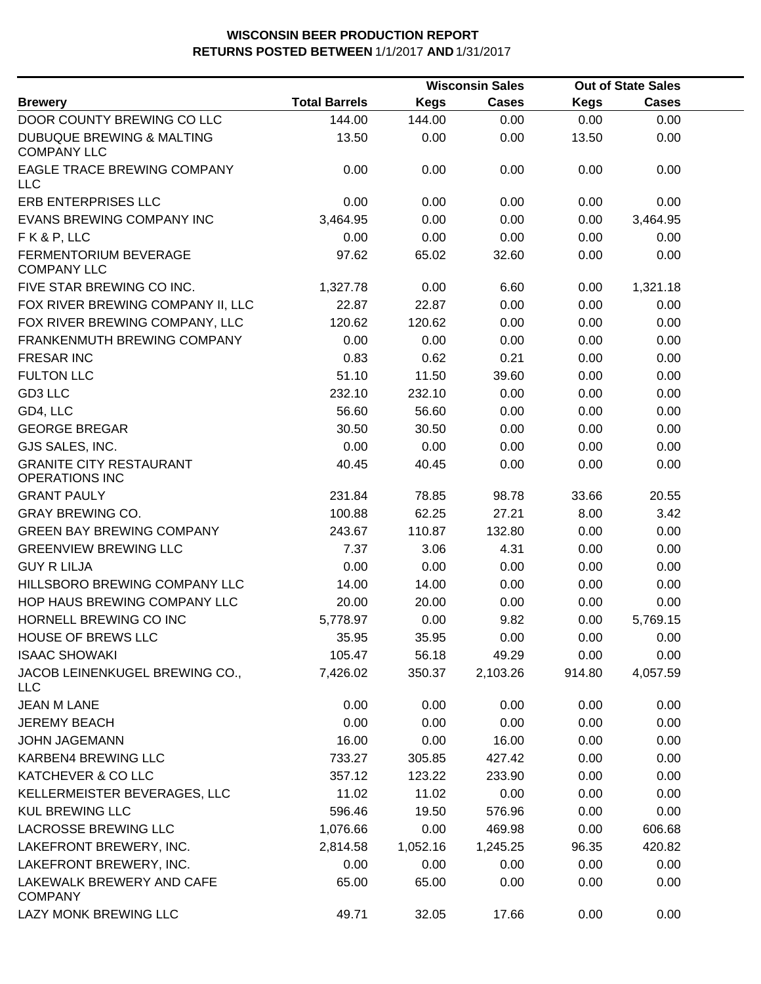|                                                            |                      |             | <b>Wisconsin Sales</b> |             | <b>Out of State Sales</b> |  |
|------------------------------------------------------------|----------------------|-------------|------------------------|-------------|---------------------------|--|
| <b>Brewery</b>                                             | <b>Total Barrels</b> | <b>Kegs</b> | <b>Cases</b>           | <b>Kegs</b> | <b>Cases</b>              |  |
| DOOR COUNTY BREWING CO LLC                                 | 144.00               | 144.00      | 0.00                   | 0.00        | 0.00                      |  |
| <b>DUBUQUE BREWING &amp; MALTING</b><br><b>COMPANY LLC</b> | 13.50                | 0.00        | 0.00                   | 13.50       | 0.00                      |  |
| EAGLE TRACE BREWING COMPANY<br><b>LLC</b>                  | 0.00                 | 0.00        | 0.00                   | 0.00        | 0.00                      |  |
| <b>ERB ENTERPRISES LLC</b>                                 | 0.00                 | 0.00        | 0.00                   | 0.00        | 0.00                      |  |
| EVANS BREWING COMPANY INC                                  | 3,464.95             | 0.00        | 0.00                   | 0.00        | 3,464.95                  |  |
| FK&P, LLC                                                  | 0.00                 | 0.00        | 0.00                   | 0.00        | 0.00                      |  |
| <b>FERMENTORIUM BEVERAGE</b><br><b>COMPANY LLC</b>         | 97.62                | 65.02       | 32.60                  | 0.00        | 0.00                      |  |
| FIVE STAR BREWING CO INC.                                  | 1,327.78             | 0.00        | 6.60                   | 0.00        | 1,321.18                  |  |
| FOX RIVER BREWING COMPANY II, LLC                          | 22.87                | 22.87       | 0.00                   | 0.00        | 0.00                      |  |
| FOX RIVER BREWING COMPANY, LLC                             | 120.62               | 120.62      | 0.00                   | 0.00        | 0.00                      |  |
| FRANKENMUTH BREWING COMPANY                                | 0.00                 | 0.00        | 0.00                   | 0.00        | 0.00                      |  |
| <b>FRESAR INC</b>                                          | 0.83                 | 0.62        | 0.21                   | 0.00        | 0.00                      |  |
| <b>FULTON LLC</b>                                          | 51.10                | 11.50       | 39.60                  | 0.00        | 0.00                      |  |
| GD3 LLC                                                    | 232.10               | 232.10      | 0.00                   | 0.00        | 0.00                      |  |
| GD4, LLC                                                   | 56.60                | 56.60       | 0.00                   | 0.00        | 0.00                      |  |
| <b>GEORGE BREGAR</b>                                       | 30.50                | 30.50       | 0.00                   | 0.00        | 0.00                      |  |
| GJS SALES, INC.                                            | 0.00                 | 0.00        | 0.00                   | 0.00        | 0.00                      |  |
| <b>GRANITE CITY RESTAURANT</b><br><b>OPERATIONS INC</b>    | 40.45                | 40.45       | 0.00                   | 0.00        | 0.00                      |  |
| <b>GRANT PAULY</b>                                         | 231.84               | 78.85       | 98.78                  | 33.66       | 20.55                     |  |
| <b>GRAY BREWING CO.</b>                                    | 100.88               | 62.25       | 27.21                  | 8.00        | 3.42                      |  |
| <b>GREEN BAY BREWING COMPANY</b>                           | 243.67               | 110.87      | 132.80                 | 0.00        | 0.00                      |  |
| <b>GREENVIEW BREWING LLC</b>                               | 7.37                 | 3.06        | 4.31                   | 0.00        | 0.00                      |  |
| <b>GUY R LILJA</b>                                         | 0.00                 | 0.00        | 0.00                   | 0.00        | 0.00                      |  |
| HILLSBORO BREWING COMPANY LLC                              | 14.00                | 14.00       | 0.00                   | 0.00        | 0.00                      |  |
| HOP HAUS BREWING COMPANY LLC                               | 20.00                | 20.00       | 0.00                   | 0.00        | 0.00                      |  |
| HORNELL BREWING CO INC                                     | 5,778.97             | 0.00        | 9.82                   | 0.00        | 5,769.15                  |  |
| HOUSE OF BREWS LLC                                         | 35.95                | 35.95       | 0.00                   | 0.00        | 0.00                      |  |
| <b>ISAAC SHOWAKI</b>                                       | 105.47               | 56.18       | 49.29                  | 0.00        | 0.00                      |  |
| JACOB LEINENKUGEL BREWING CO.,<br><b>LLC</b>               | 7,426.02             | 350.37      | 2,103.26               | 914.80      | 4,057.59                  |  |
| <b>JEAN M LANE</b>                                         | 0.00                 | 0.00        | 0.00                   | 0.00        | 0.00                      |  |
| <b>JEREMY BEACH</b>                                        | 0.00                 | 0.00        | 0.00                   | 0.00        | 0.00                      |  |
| <b>JOHN JAGEMANN</b>                                       | 16.00                | 0.00        | 16.00                  | 0.00        | 0.00                      |  |
| KARBEN4 BREWING LLC                                        | 733.27               | 305.85      | 427.42                 | 0.00        | 0.00                      |  |
| KATCHEVER & CO LLC                                         | 357.12               | 123.22      | 233.90                 | 0.00        | 0.00                      |  |
| KELLERMEISTER BEVERAGES, LLC                               | 11.02                | 11.02       | 0.00                   | 0.00        | 0.00                      |  |
| <b>KUL BREWING LLC</b>                                     | 596.46               | 19.50       | 576.96                 | 0.00        | 0.00                      |  |
| LACROSSE BREWING LLC                                       | 1,076.66             | 0.00        | 469.98                 | 0.00        | 606.68                    |  |
| LAKEFRONT BREWERY, INC.                                    | 2,814.58             | 1,052.16    | 1,245.25               | 96.35       | 420.82                    |  |
| LAKEFRONT BREWERY, INC.                                    | 0.00                 | 0.00        | 0.00                   | 0.00        | 0.00                      |  |
| LAKEWALK BREWERY AND CAFE<br><b>COMPANY</b>                | 65.00                | 65.00       | 0.00                   | 0.00        | 0.00                      |  |
| LAZY MONK BREWING LLC                                      | 49.71                | 32.05       | 17.66                  | 0.00        | 0.00                      |  |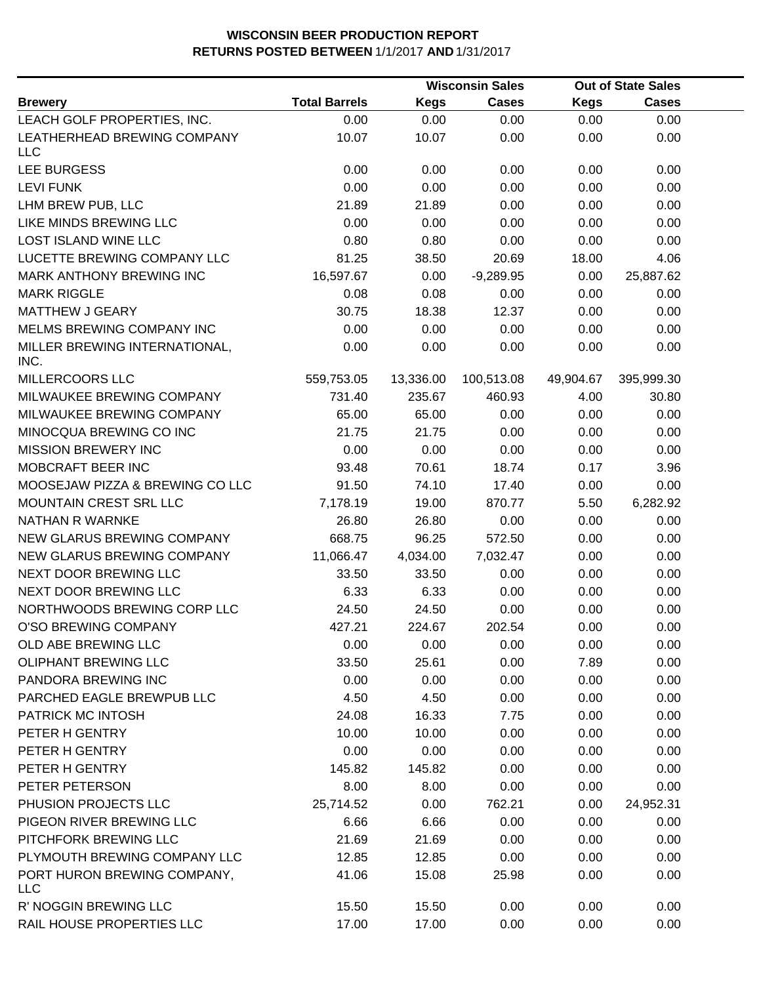|                                           |                      |             | <b>Wisconsin Sales</b> |             | <b>Out of State Sales</b> |  |
|-------------------------------------------|----------------------|-------------|------------------------|-------------|---------------------------|--|
| <b>Brewery</b>                            | <b>Total Barrels</b> | <b>Kegs</b> | <b>Cases</b>           | <b>Kegs</b> | <b>Cases</b>              |  |
| LEACH GOLF PROPERTIES, INC.               | 0.00                 | 0.00        | 0.00                   | 0.00        | 0.00                      |  |
| LEATHERHEAD BREWING COMPANY               | 10.07                | 10.07       | 0.00                   | 0.00        | 0.00                      |  |
| <b>LLC</b>                                |                      |             |                        |             |                           |  |
| LEE BURGESS                               | 0.00                 | 0.00        | 0.00                   | 0.00        | 0.00                      |  |
| <b>LEVI FUNK</b>                          | 0.00                 | 0.00        | 0.00                   | 0.00        | 0.00                      |  |
| LHM BREW PUB, LLC                         | 21.89                | 21.89       | 0.00                   | 0.00        | 0.00                      |  |
| LIKE MINDS BREWING LLC                    | 0.00                 | 0.00        | 0.00                   | 0.00        | 0.00                      |  |
| LOST ISLAND WINE LLC                      | 0.80                 | 0.80        | 0.00                   | 0.00        | 0.00                      |  |
| LUCETTE BREWING COMPANY LLC               | 81.25                | 38.50       | 20.69                  | 18.00       | 4.06                      |  |
| MARK ANTHONY BREWING INC                  | 16,597.67            | 0.00        | $-9,289.95$            | 0.00        | 25,887.62                 |  |
| <b>MARK RIGGLE</b>                        | 0.08                 | 0.08        | 0.00                   | 0.00        | 0.00                      |  |
| <b>MATTHEW J GEARY</b>                    | 30.75                | 18.38       | 12.37                  | 0.00        | 0.00                      |  |
| MELMS BREWING COMPANY INC                 | 0.00                 | 0.00        | 0.00                   | 0.00        | 0.00                      |  |
| MILLER BREWING INTERNATIONAL,<br>INC.     | 0.00                 | 0.00        | 0.00                   | 0.00        | 0.00                      |  |
| MILLERCOORS LLC                           | 559,753.05           | 13,336.00   | 100,513.08             | 49,904.67   | 395,999.30                |  |
| MILWAUKEE BREWING COMPANY                 | 731.40               | 235.67      | 460.93                 | 4.00        | 30.80                     |  |
| MILWAUKEE BREWING COMPANY                 | 65.00                | 65.00       | 0.00                   | 0.00        | 0.00                      |  |
| MINOCQUA BREWING CO INC                   | 21.75                | 21.75       | 0.00                   | 0.00        | 0.00                      |  |
| <b>MISSION BREWERY INC</b>                | 0.00                 | 0.00        | 0.00                   | 0.00        | 0.00                      |  |
| MOBCRAFT BEER INC                         | 93.48                | 70.61       | 18.74                  | 0.17        | 3.96                      |  |
| MOOSEJAW PIZZA & BREWING CO LLC           | 91.50                | 74.10       | 17.40                  | 0.00        | 0.00                      |  |
| MOUNTAIN CREST SRL LLC                    | 7,178.19             | 19.00       | 870.77                 | 5.50        | 6,282.92                  |  |
| NATHAN R WARNKE                           | 26.80                | 26.80       | 0.00                   | 0.00        | 0.00                      |  |
| NEW GLARUS BREWING COMPANY                | 668.75               | 96.25       | 572.50                 | 0.00        | 0.00                      |  |
| NEW GLARUS BREWING COMPANY                | 11,066.47            | 4,034.00    | 7,032.47               | 0.00        | 0.00                      |  |
| NEXT DOOR BREWING LLC                     | 33.50                | 33.50       | 0.00                   | 0.00        | 0.00                      |  |
| NEXT DOOR BREWING LLC                     | 6.33                 | 6.33        | 0.00                   | 0.00        | 0.00                      |  |
| NORTHWOODS BREWING CORP LLC               | 24.50                | 24.50       | 0.00                   | 0.00        | 0.00                      |  |
| O'SO BREWING COMPANY                      | 427.21               | 224.67      | 202.54                 | 0.00        | 0.00                      |  |
| OLD ABE BREWING LLC                       | 0.00                 | 0.00        | 0.00                   | 0.00        | 0.00                      |  |
| <b>OLIPHANT BREWING LLC</b>               | 33.50                | 25.61       | 0.00                   | 7.89        | 0.00                      |  |
| PANDORA BREWING INC                       | 0.00                 | 0.00        | 0.00                   | 0.00        | 0.00                      |  |
| PARCHED EAGLE BREWPUB LLC                 | 4.50                 | 4.50        | 0.00                   | 0.00        | 0.00                      |  |
| PATRICK MC INTOSH                         | 24.08                | 16.33       | 7.75                   | 0.00        | 0.00                      |  |
| PETER H GENTRY                            | 10.00                | 10.00       | 0.00                   | 0.00        | 0.00                      |  |
| PETER H GENTRY                            | 0.00                 | 0.00        | 0.00                   | 0.00        | 0.00                      |  |
| PETER H GENTRY                            | 145.82               | 145.82      | 0.00                   | 0.00        | 0.00                      |  |
| PETER PETERSON                            | 8.00                 | 8.00        | 0.00                   | 0.00        | 0.00                      |  |
| PHUSION PROJECTS LLC                      | 25,714.52            | 0.00        | 762.21                 | 0.00        | 24,952.31                 |  |
| PIGEON RIVER BREWING LLC                  | 6.66                 | 6.66        | 0.00                   | 0.00        | 0.00                      |  |
| PITCHFORK BREWING LLC                     | 21.69                | 21.69       | 0.00                   | 0.00        | 0.00                      |  |
| PLYMOUTH BREWING COMPANY LLC              | 12.85                | 12.85       | 0.00                   | 0.00        | 0.00                      |  |
| PORT HURON BREWING COMPANY,<br><b>LLC</b> | 41.06                | 15.08       | 25.98                  | 0.00        | 0.00                      |  |
| R' NOGGIN BREWING LLC                     | 15.50                | 15.50       | 0.00                   | 0.00        | 0.00                      |  |
| RAIL HOUSE PROPERTIES LLC                 | 17.00                | 17.00       | 0.00                   | 0.00        | 0.00                      |  |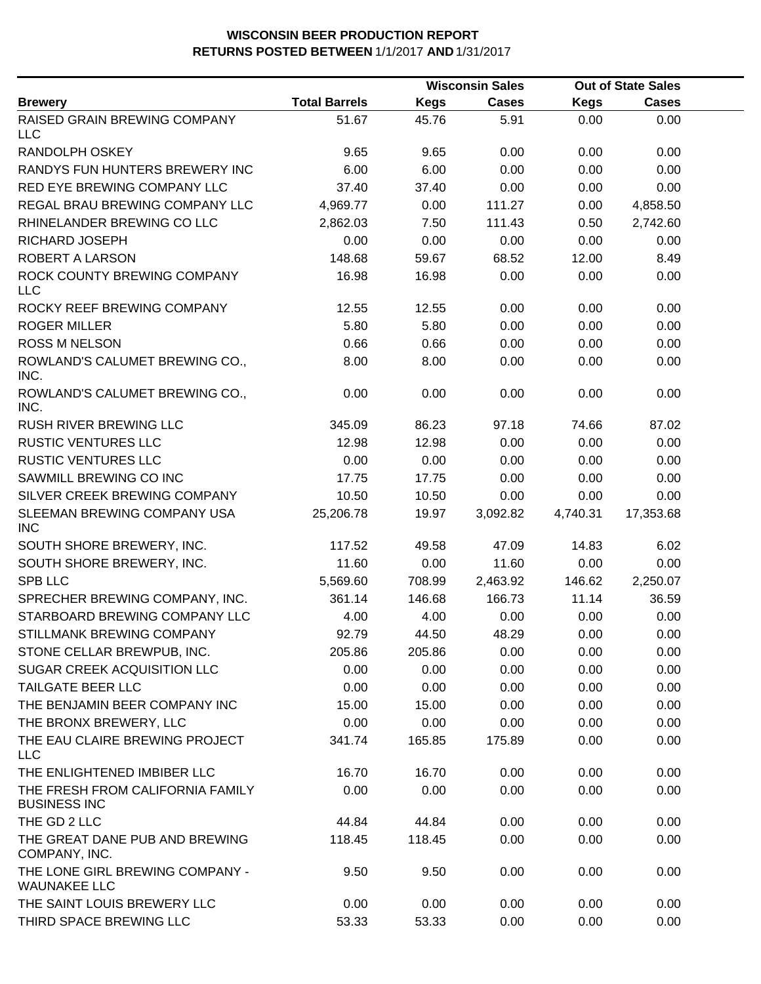|                                                         |                      |             | <b>Wisconsin Sales</b> |             | <b>Out of State Sales</b> |  |
|---------------------------------------------------------|----------------------|-------------|------------------------|-------------|---------------------------|--|
| <b>Brewery</b>                                          | <b>Total Barrels</b> | <b>Kegs</b> | <b>Cases</b>           | <b>Kegs</b> | <b>Cases</b>              |  |
| RAISED GRAIN BREWING COMPANY<br><b>LLC</b>              | 51.67                | 45.76       | 5.91                   | 0.00        | 0.00                      |  |
| <b>RANDOLPH OSKEY</b>                                   | 9.65                 | 9.65        | 0.00                   | 0.00        | 0.00                      |  |
| RANDYS FUN HUNTERS BREWERY INC                          | 6.00                 | 6.00        | 0.00                   | 0.00        | 0.00                      |  |
| RED EYE BREWING COMPANY LLC                             | 37.40                | 37.40       | 0.00                   | 0.00        | 0.00                      |  |
| REGAL BRAU BREWING COMPANY LLC                          | 4,969.77             | 0.00        | 111.27                 | 0.00        | 4,858.50                  |  |
| RHINELANDER BREWING CO LLC                              | 2,862.03             | 7.50        | 111.43                 | 0.50        | 2,742.60                  |  |
| RICHARD JOSEPH                                          | 0.00                 | 0.00        | 0.00                   | 0.00        | 0.00                      |  |
| <b>ROBERT A LARSON</b>                                  | 148.68               | 59.67       | 68.52                  | 12.00       | 8.49                      |  |
| ROCK COUNTY BREWING COMPANY<br><b>LLC</b>               | 16.98                | 16.98       | 0.00                   | 0.00        | 0.00                      |  |
| ROCKY REEF BREWING COMPANY                              | 12.55                | 12.55       | 0.00                   | 0.00        | 0.00                      |  |
| <b>ROGER MILLER</b>                                     | 5.80                 | 5.80        | 0.00                   | 0.00        | 0.00                      |  |
| <b>ROSS M NELSON</b>                                    | 0.66                 | 0.66        | 0.00                   | 0.00        | 0.00                      |  |
| ROWLAND'S CALUMET BREWING CO.,<br>INC.                  | 8.00                 | 8.00        | 0.00                   | 0.00        | 0.00                      |  |
| ROWLAND'S CALUMET BREWING CO.,<br>INC.                  | 0.00                 | 0.00        | 0.00                   | 0.00        | 0.00                      |  |
| RUSH RIVER BREWING LLC                                  | 345.09               | 86.23       | 97.18                  | 74.66       | 87.02                     |  |
| <b>RUSTIC VENTURES LLC</b>                              | 12.98                | 12.98       | 0.00                   | 0.00        | 0.00                      |  |
| <b>RUSTIC VENTURES LLC</b>                              | 0.00                 | 0.00        | 0.00                   | 0.00        | 0.00                      |  |
| SAWMILL BREWING CO INC                                  | 17.75                | 17.75       | 0.00                   | 0.00        | 0.00                      |  |
| SILVER CREEK BREWING COMPANY                            | 10.50                | 10.50       | 0.00                   | 0.00        | 0.00                      |  |
| SLEEMAN BREWING COMPANY USA<br><b>INC</b>               | 25,206.78            | 19.97       | 3,092.82               | 4,740.31    | 17,353.68                 |  |
| SOUTH SHORE BREWERY, INC.                               | 117.52               | 49.58       | 47.09                  | 14.83       | 6.02                      |  |
| SOUTH SHORE BREWERY, INC.                               | 11.60                | 0.00        | 11.60                  | 0.00        | 0.00                      |  |
| SPB LLC                                                 | 5,569.60             | 708.99      | 2,463.92               | 146.62      | 2,250.07                  |  |
| SPRECHER BREWING COMPANY, INC.                          | 361.14               | 146.68      | 166.73                 | 11.14       | 36.59                     |  |
| STARBOARD BREWING COMPANY LLC                           | 4.00                 | 4.00        | 0.00                   | 0.00        | 0.00                      |  |
| STILLMANK BREWING COMPANY                               | 92.79                | 44.50       | 48.29                  | 0.00        | 0.00                      |  |
| STONE CELLAR BREWPUB, INC.                              | 205.86               | 205.86      | 0.00                   | 0.00        | 0.00                      |  |
| SUGAR CREEK ACQUISITION LLC                             | 0.00                 | 0.00        | 0.00                   | 0.00        | 0.00                      |  |
| <b>TAILGATE BEER LLC</b>                                | 0.00                 | 0.00        | 0.00                   | 0.00        | 0.00                      |  |
| THE BENJAMIN BEER COMPANY INC                           | 15.00                | 15.00       | 0.00                   | 0.00        | 0.00                      |  |
| THE BRONX BREWERY, LLC                                  | 0.00                 | 0.00        | 0.00                   | 0.00        | 0.00                      |  |
| THE EAU CLAIRE BREWING PROJECT<br><b>LLC</b>            | 341.74               | 165.85      | 175.89                 | 0.00        | 0.00                      |  |
| THE ENLIGHTENED IMBIBER LLC                             | 16.70                | 16.70       | 0.00                   | 0.00        | 0.00                      |  |
| THE FRESH FROM CALIFORNIA FAMILY<br><b>BUSINESS INC</b> | 0.00                 | 0.00        | 0.00                   | 0.00        | 0.00                      |  |
| THE GD 2 LLC                                            | 44.84                | 44.84       | 0.00                   | 0.00        | 0.00                      |  |
| THE GREAT DANE PUB AND BREWING<br>COMPANY, INC.         | 118.45               | 118.45      | 0.00                   | 0.00        | 0.00                      |  |
| THE LONE GIRL BREWING COMPANY -<br><b>WAUNAKEE LLC</b>  | 9.50                 | 9.50        | 0.00                   | 0.00        | 0.00                      |  |
| THE SAINT LOUIS BREWERY LLC                             | 0.00                 | 0.00        | 0.00                   | 0.00        | 0.00                      |  |
| THIRD SPACE BREWING LLC                                 | 53.33                | 53.33       | 0.00                   | 0.00        | 0.00                      |  |